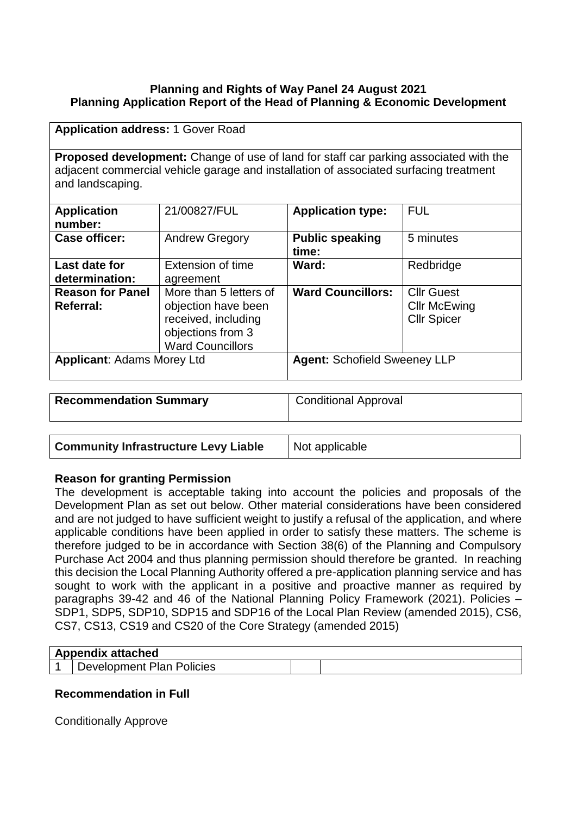#### **Planning and Rights of Way Panel 24 August 2021 Planning Application Report of the Head of Planning & Economic Development**

| <b>Application address: 1 Gover Road</b>                                                                                                                                                                  |                                                                                                                      |                                     |                                                                |  |  |
|-----------------------------------------------------------------------------------------------------------------------------------------------------------------------------------------------------------|----------------------------------------------------------------------------------------------------------------------|-------------------------------------|----------------------------------------------------------------|--|--|
| <b>Proposed development:</b> Change of use of land for staff car parking associated with the<br>adjacent commercial vehicle garage and installation of associated surfacing treatment<br>and landscaping. |                                                                                                                      |                                     |                                                                |  |  |
| <b>Application</b><br>number:                                                                                                                                                                             | 21/00827/FUL                                                                                                         | <b>Application type:</b>            | <b>FUL</b>                                                     |  |  |
| <b>Case officer:</b>                                                                                                                                                                                      | <b>Andrew Gregory</b>                                                                                                | <b>Public speaking</b><br>time:     | 5 minutes                                                      |  |  |
| Last date for<br>determination:                                                                                                                                                                           | Extension of time<br>agreement                                                                                       | Ward:                               | Redbridge                                                      |  |  |
| <b>Reason for Panel</b><br>Referral:                                                                                                                                                                      | More than 5 letters of<br>objection have been<br>received, including<br>objections from 3<br><b>Ward Councillors</b> | <b>Ward Councillors:</b>            | <b>Cllr Guest</b><br><b>Cllr McEwing</b><br><b>Cllr Spicer</b> |  |  |
| <b>Applicant: Adams Morey Ltd</b>                                                                                                                                                                         |                                                                                                                      | <b>Agent: Schofield Sweeney LLP</b> |                                                                |  |  |

| <b>Recommendation Summary</b>               | <b>Conditional Approval</b> |  |
|---------------------------------------------|-----------------------------|--|
|                                             |                             |  |
| <b>Community Infrastructure Levy Liable</b> | Not applicable              |  |

### **Reason for granting Permission**

The development is acceptable taking into account the policies and proposals of the Development Plan as set out below. Other material considerations have been considered and are not judged to have sufficient weight to justify a refusal of the application, and where applicable conditions have been applied in order to satisfy these matters. The scheme is therefore judged to be in accordance with Section 38(6) of the Planning and Compulsory Purchase Act 2004 and thus planning permission should therefore be granted. In reaching this decision the Local Planning Authority offered a pre-application planning service and has sought to work with the applicant in a positive and proactive manner as required by paragraphs 39-42 and 46 of the National Planning Policy Framework (2021). Policies – SDP1, SDP5, SDP10, SDP15 and SDP16 of the Local Plan Review (amended 2015), CS6, CS7, CS13, CS19 and CS20 of the Core Strategy (amended 2015)

| Appendix attached                             |  |
|-----------------------------------------------|--|
| Policies<br><b>Plan</b><br><b>Development</b> |  |

### **Recommendation in Full**

Conditionally Approve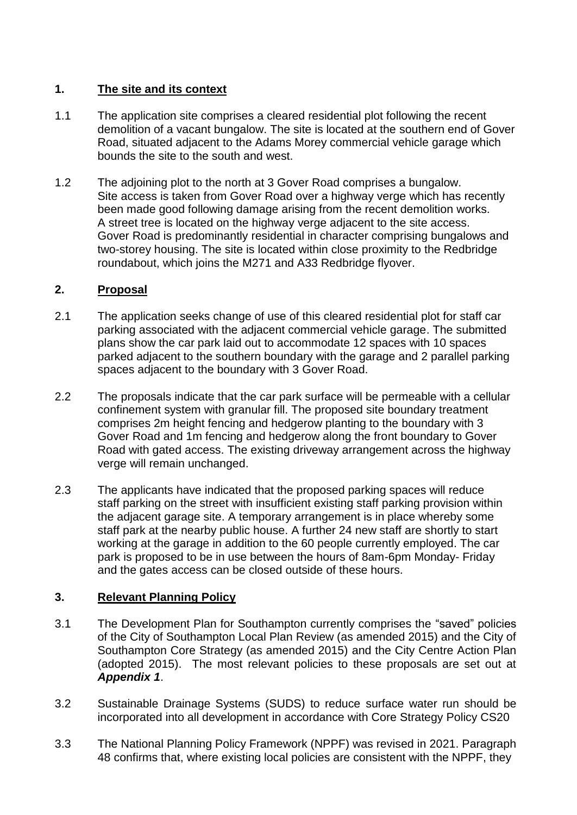# **1. The site and its context**

- 1.1 The application site comprises a cleared residential plot following the recent demolition of a vacant bungalow. The site is located at the southern end of Gover Road, situated adjacent to the Adams Morey commercial vehicle garage which bounds the site to the south and west.
- 1.2 The adjoining plot to the north at 3 Gover Road comprises a bungalow. Site access is taken from Gover Road over a highway verge which has recently been made good following damage arising from the recent demolition works. A street tree is located on the highway verge adjacent to the site access. Gover Road is predominantly residential in character comprising bungalows and two-storey housing. The site is located within close proximity to the Redbridge roundabout, which joins the M271 and A33 Redbridge flyover.

#### **2. Proposal**

- 2.1 The application seeks change of use of this cleared residential plot for staff car parking associated with the adjacent commercial vehicle garage. The submitted plans show the car park laid out to accommodate 12 spaces with 10 spaces parked adjacent to the southern boundary with the garage and 2 parallel parking spaces adjacent to the boundary with 3 Gover Road.
- 2.2 The proposals indicate that the car park surface will be permeable with a cellular confinement system with granular fill. The proposed site boundary treatment comprises 2m height fencing and hedgerow planting to the boundary with 3 Gover Road and 1m fencing and hedgerow along the front boundary to Gover Road with gated access. The existing driveway arrangement across the highway verge will remain unchanged.
- 2.3 The applicants have indicated that the proposed parking spaces will reduce staff parking on the street with insufficient existing staff parking provision within the adjacent garage site. A temporary arrangement is in place whereby some staff park at the nearby public house. A further 24 new staff are shortly to start working at the garage in addition to the 60 people currently employed. The car park is proposed to be in use between the hours of 8am-6pm Monday- Friday and the gates access can be closed outside of these hours.

### **3. Relevant Planning Policy**

- 3.1 The Development Plan for Southampton currently comprises the "saved" policies of the City of Southampton Local Plan Review (as amended 2015) and the City of Southampton Core Strategy (as amended 2015) and the City Centre Action Plan (adopted 2015). The most relevant policies to these proposals are set out at *Appendix 1*.
- 3.2 Sustainable Drainage Systems (SUDS) to reduce surface water run should be incorporated into all development in accordance with Core Strategy Policy CS20
- 3.3 The National Planning Policy Framework (NPPF) was revised in 2021. Paragraph 48 confirms that, where existing local policies are consistent with the NPPF, they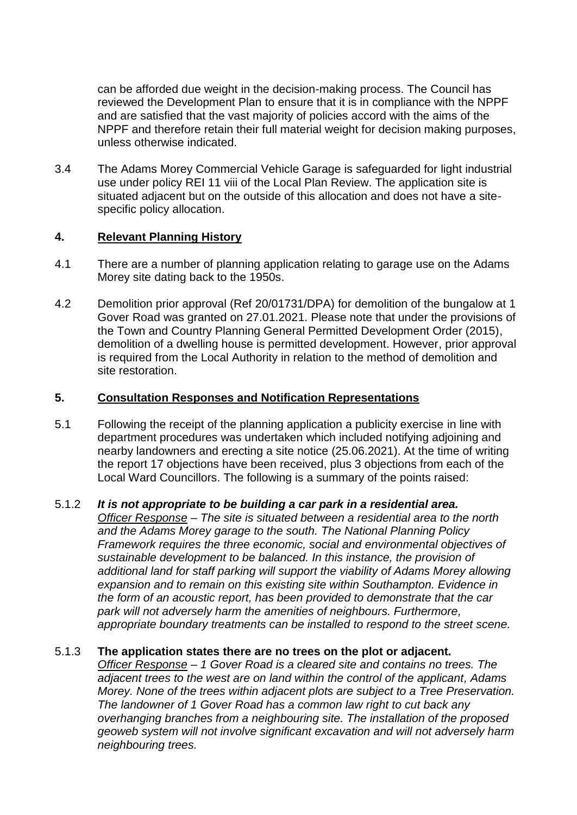can be afforded due weight in the decision-making process. The Council has reviewed the Development Plan to ensure that it is in compliance with the NPPF and are satisfied that the vast majority of policies accord with the aims of the NPPF and therefore retain their full material weight for decision making purposes, unless otherwise indicated.

3.4 The Adams Morey Commercial Vehicle Garage is safeguarded for light industrial use under policy REI 11 viii of the Local Plan Review. The application site is situated adjacent but on the outside of this allocation and does not have a sitespecific policy allocation.

### **4. Relevant Planning History**

- 4.1 There are a number of planning application relating to garage use on the Adams Morey site dating back to the 1950s.
- 4.2 Demolition prior approval (Ref 20/01731/DPA) for demolition of the bungalow at 1 Gover Road was granted on 27.01.2021. Please note that under the provisions of the Town and Country Planning General Permitted Development Order (2015), demolition of a dwelling house is permitted development. However, prior approval is required from the Local Authority in relation to the method of demolition and site restoration.

#### **5. Consultation Responses and Notification Representations**

5.1 Following the receipt of the planning application a publicity exercise in line with department procedures was undertaken which included notifying adjoining and nearby landowners and erecting a site notice (25.06.2021). At the time of writing the report 17 objections have been received, plus 3 objections from each of the Local Ward Councillors. The following is a summary of the points raised:

#### 5.1.2 *It is not appropriate to be building a car park in a residential area.*

*Officer Response – The site is situated between a residential area to the north and the Adams Morey garage to the south. The National Planning Policy Framework requires the three economic, social and environmental objectives of sustainable development to be balanced. In this instance, the provision of additional land for staff parking will support the viability of Adams Morey allowing expansion and to remain on this existing site within Southampton. Evidence in the form of an acoustic report, has been provided to demonstrate that the car park will not adversely harm the amenities of neighbours. Furthermore, appropriate boundary treatments can be installed to respond to the street scene.*

#### 5.1.3 **The application states there are no trees on the plot or adjacent.**

*Officer Response – 1 Gover Road is a cleared site and contains no trees. The adjacent trees to the west are on land within the control of the applicant, Adams Morey. None of the trees within adjacent plots are subject to a Tree Preservation. The landowner of 1 Gover Road has a common law right to cut back any overhanging branches from a neighbouring site. The installation of the proposed geoweb system will not involve significant excavation and will not adversely harm neighbouring trees.*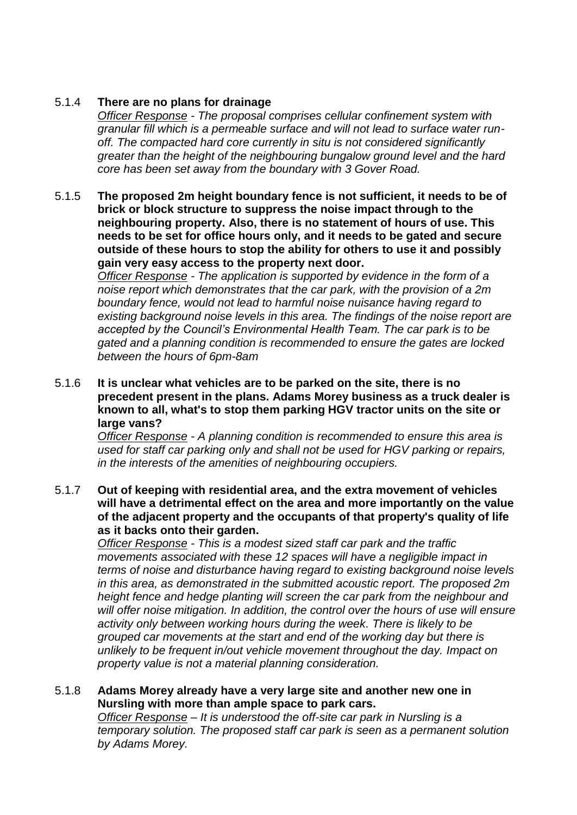#### 5.1.4 **There are no plans for drainage**

*Officer Response - The proposal comprises cellular confinement system with granular fill which is a permeable surface and will not lead to surface water runoff. The compacted hard core currently in situ is not considered significantly greater than the height of the neighbouring bungalow ground level and the hard core has been set away from the boundary with 3 Gover Road.*

5.1.5 **The proposed 2m height boundary fence is not sufficient, it needs to be of brick or block structure to suppress the noise impact through to the neighbouring property. Also, there is no statement of hours of use. This needs to be set for office hours only, and it needs to be gated and secure outside of these hours to stop the ability for others to use it and possibly gain very easy access to the property next door.**

*Officer Response - The application is supported by evidence in the form of a noise report which demonstrates that the car park, with the provision of a 2m boundary fence, would not lead to harmful noise nuisance having regard to existing background noise levels in this area. The findings of the noise report are accepted by the Council's Environmental Health Team. The car park is to be gated and a planning condition is recommended to ensure the gates are locked between the hours of 6pm-8am*

5.1.6 **It is unclear what vehicles are to be parked on the site, there is no precedent present in the plans. Adams Morey business as a truck dealer is known to all, what's to stop them parking HGV tractor units on the site or large vans?**

*Officer Response - A planning condition is recommended to ensure this area is used for staff car parking only and shall not be used for HGV parking or repairs, in the interests of the amenities of neighbouring occupiers.*

5.1.7 **Out of keeping with residential area, and the extra movement of vehicles will have a detrimental effect on the area and more importantly on the value of the adjacent property and the occupants of that property's quality of life as it backs onto their garden.**

*Officer Response - This is a modest sized staff car park and the traffic movements associated with these 12 spaces will have a negligible impact in terms of noise and disturbance having regard to existing background noise levels in this area, as demonstrated in the submitted acoustic report. The proposed 2m height fence and hedge planting will screen the car park from the neighbour and will offer noise mitigation. In addition, the control over the hours of use will ensure activity only between working hours during the week. There is likely to be grouped car movements at the start and end of the working day but there is unlikely to be frequent in/out vehicle movement throughout the day. Impact on property value is not a material planning consideration.* 

#### 5.1.8 **Adams Morey already have a very large site and another new one in Nursling with more than ample space to park cars.**

*Officer Response – It is understood the off-site car park in Nursling is a temporary solution. The proposed staff car park is seen as a permanent solution by Adams Morey.*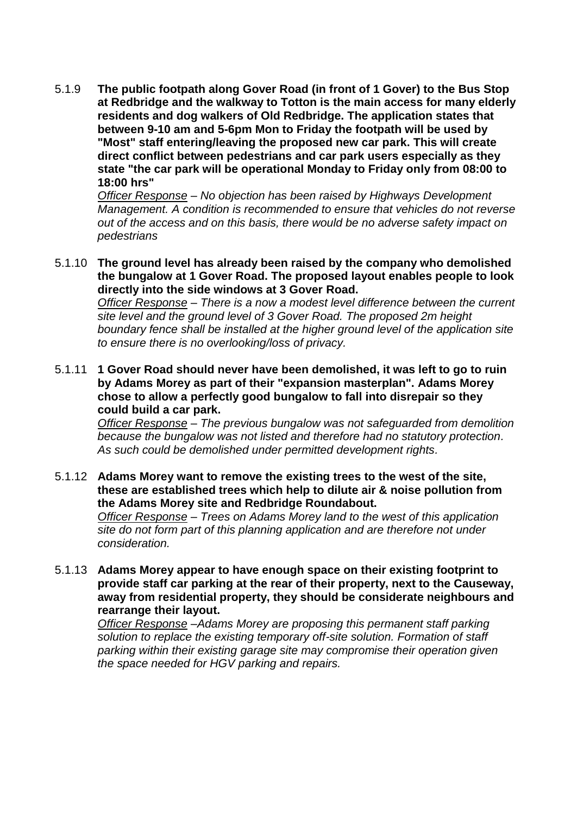5.1.9 **The public footpath along Gover Road (in front of 1 Gover) to the Bus Stop at Redbridge and the walkway to Totton is the main access for many elderly residents and dog walkers of Old Redbridge. The application states that between 9-10 am and 5-6pm Mon to Friday the footpath will be used by "Most" staff entering/leaving the proposed new car park. This will create direct conflict between pedestrians and car park users especially as they state "the car park will be operational Monday to Friday only from 08:00 to 18:00 hrs"**

*Officer Response – No objection has been raised by Highways Development Management. A condition is recommended to ensure that vehicles do not reverse out of the access and on this basis, there would be no adverse safety impact on pedestrians*

5.1.10 **The ground level has already been raised by the company who demolished the bungalow at 1 Gover Road. The proposed layout enables people to look directly into the side windows at 3 Gover Road.**

*Officer Response – There is a now a modest level difference between the current site level and the ground level of 3 Gover Road. The proposed 2m height boundary fence shall be installed at the higher ground level of the application site to ensure there is no overlooking/loss of privacy.*

5.1.11 **1 Gover Road should never have been demolished, it was left to go to ruin by Adams Morey as part of their "expansion masterplan". Adams Morey chose to allow a perfectly good bungalow to fall into disrepair so they could build a car park.**

*Officer Response – The previous bungalow was not safeguarded from demolition because the bungalow was not listed and therefore had no statutory protection. As such could be demolished under permitted development rights.*

5.1.12 **Adams Morey want to remove the existing trees to the west of the site, these are established trees which help to dilute air & noise pollution from the Adams Morey site and Redbridge Roundabout.**

*Officer Response – Trees on Adams Morey land to the west of this application site do not form part of this planning application and are therefore not under consideration.*

5.1.13 **Adams Morey appear to have enough space on their existing footprint to provide staff car parking at the rear of their property, next to the Causeway, away from residential property, they should be considerate neighbours and rearrange their layout.** 

*Officer Response –Adams Morey are proposing this permanent staff parking solution to replace the existing temporary off-site solution. Formation of staff parking within their existing garage site may compromise their operation given the space needed for HGV parking and repairs.*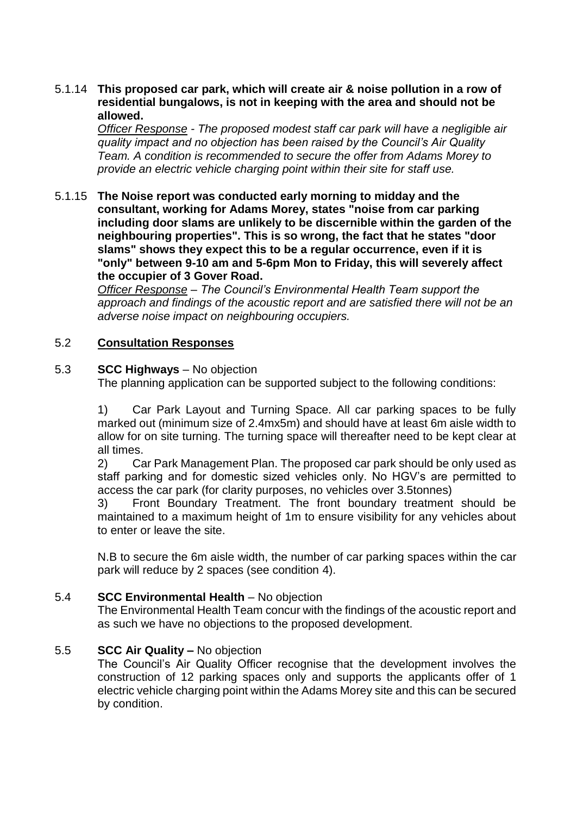#### 5.1.14 **This proposed car park, which will create air & noise pollution in a row of residential bungalows, is not in keeping with the area and should not be allowed.**

*Officer Response - The proposed modest staff car park will have a negligible air quality impact and no objection has been raised by the Council's Air Quality Team. A condition is recommended to secure the offer from Adams Morey to provide an electric vehicle charging point within their site for staff use.*

5.1.15 **The Noise report was conducted early morning to midday and the consultant, working for Adams Morey, states "noise from car parking including door slams are unlikely to be discernible within the garden of the neighbouring properties". This is so wrong, the fact that he states "door slams" shows they expect this to be a regular occurrence, even if it is "only" between 9-10 am and 5-6pm Mon to Friday, this will severely affect the occupier of 3 Gover Road.**

*Officer Response – The Council's Environmental Health Team support the approach and findings of the acoustic report and are satisfied there will not be an adverse noise impact on neighbouring occupiers.*

### 5.2 **Consultation Responses**

#### 5.3 **SCC Highways** – No objection

The planning application can be supported subject to the following conditions:

1) Car Park Layout and Turning Space. All car parking spaces to be fully marked out (minimum size of 2.4mx5m) and should have at least 6m aisle width to allow for on site turning. The turning space will thereafter need to be kept clear at all times.

2) Car Park Management Plan. The proposed car park should be only used as staff parking and for domestic sized vehicles only. No HGV's are permitted to access the car park (for clarity purposes, no vehicles over 3.5tonnes)

3) Front Boundary Treatment. The front boundary treatment should be maintained to a maximum height of 1m to ensure visibility for any vehicles about to enter or leave the site.

N.B to secure the 6m aisle width, the number of car parking spaces within the car park will reduce by 2 spaces (see condition 4).

#### 5.4 **SCC Environmental Health** – No objection

The Environmental Health Team concur with the findings of the acoustic report and as such we have no objections to the proposed development.

#### 5.5 **SCC Air Quality –** No objection

The Council's Air Quality Officer recognise that the development involves the construction of 12 parking spaces only and supports the applicants offer of 1 electric vehicle charging point within the Adams Morey site and this can be secured by condition.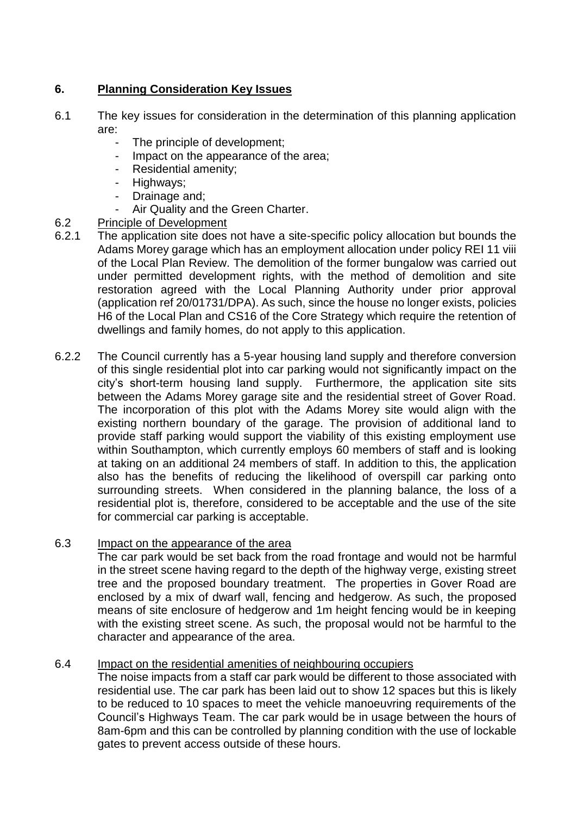## **6. Planning Consideration Key Issues**

- 6.1 The key issues for consideration in the determination of this planning application are:
	- The principle of development;
	- Impact on the appearance of the area;
	- Residential amenity;
	- Highways;
	- Drainage and;
	- Air Quality and the Green Charter.

#### 6.2 Principle of Development

- 6.2.1 The application site does not have a site-specific policy allocation but bounds the Adams Morey garage which has an employment allocation under policy REI 11 viii of the Local Plan Review. The demolition of the former bungalow was carried out under permitted development rights, with the method of demolition and site restoration agreed with the Local Planning Authority under prior approval (application ref 20/01731/DPA). As such, since the house no longer exists, policies H6 of the Local Plan and CS16 of the Core Strategy which require the retention of dwellings and family homes, do not apply to this application.
- 6.2.2 The Council currently has a 5-year housing land supply and therefore conversion of this single residential plot into car parking would not significantly impact on the city's short-term housing land supply. Furthermore, the application site sits between the Adams Morey garage site and the residential street of Gover Road. The incorporation of this plot with the Adams Morey site would align with the existing northern boundary of the garage. The provision of additional land to provide staff parking would support the viability of this existing employment use within Southampton, which currently employs 60 members of staff and is looking at taking on an additional 24 members of staff. In addition to this, the application also has the benefits of reducing the likelihood of overspill car parking onto surrounding streets. When considered in the planning balance, the loss of a residential plot is, therefore, considered to be acceptable and the use of the site for commercial car parking is acceptable.

#### 6.3 Impact on the appearance of the area

The car park would be set back from the road frontage and would not be harmful in the street scene having regard to the depth of the highway verge, existing street tree and the proposed boundary treatment. The properties in Gover Road are enclosed by a mix of dwarf wall, fencing and hedgerow. As such, the proposed means of site enclosure of hedgerow and 1m height fencing would be in keeping with the existing street scene. As such, the proposal would not be harmful to the character and appearance of the area.

#### 6.4 Impact on the residential amenities of neighbouring occupiers

The noise impacts from a staff car park would be different to those associated with residential use. The car park has been laid out to show 12 spaces but this is likely to be reduced to 10 spaces to meet the vehicle manoeuvring requirements of the Council's Highways Team. The car park would be in usage between the hours of 8am-6pm and this can be controlled by planning condition with the use of lockable gates to prevent access outside of these hours.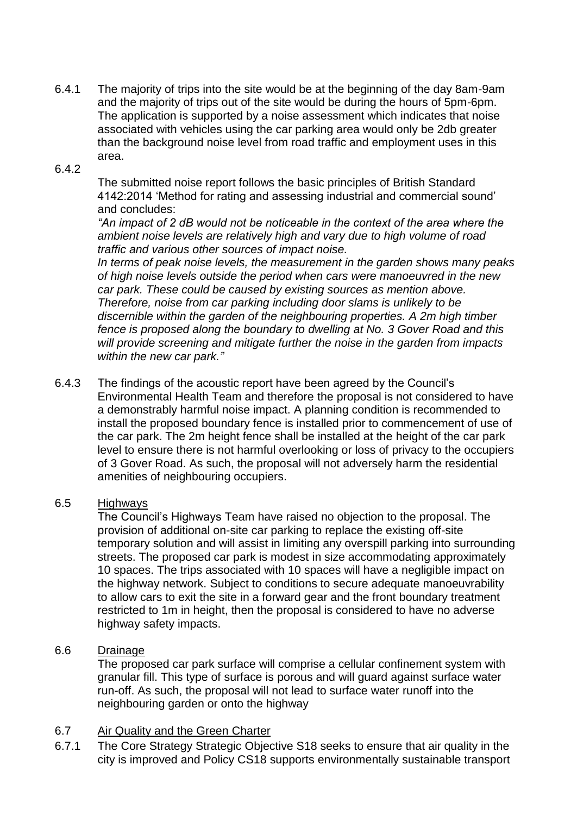6.4.1 The majority of trips into the site would be at the beginning of the day 8am-9am and the majority of trips out of the site would be during the hours of 5pm-6pm. The application is supported by a noise assessment which indicates that noise associated with vehicles using the car parking area would only be 2db greater than the background noise level from road traffic and employment uses in this area.

#### 6.4.2

The submitted noise report follows the basic principles of British Standard 4142:2014 'Method for rating and assessing industrial and commercial sound' and concludes:

*"An impact of 2 dB would not be noticeable in the context of the area where the ambient noise levels are relatively high and vary due to high volume of road traffic and various other sources of impact noise.*

*In terms of peak noise levels, the measurement in the garden shows many peaks of high noise levels outside the period when cars were manoeuvred in the new car park. These could be caused by existing sources as mention above. Therefore, noise from car parking including door slams is unlikely to be discernible within the garden of the neighbouring properties. A 2m high timber fence is proposed along the boundary to dwelling at No. 3 Gover Road and this will provide screening and mitigate further the noise in the garden from impacts within the new car park."*

6.4.3 The findings of the acoustic report have been agreed by the Council's Environmental Health Team and therefore the proposal is not considered to have a demonstrably harmful noise impact. A planning condition is recommended to install the proposed boundary fence is installed prior to commencement of use of the car park. The 2m height fence shall be installed at the height of the car park level to ensure there is not harmful overlooking or loss of privacy to the occupiers of 3 Gover Road. As such, the proposal will not adversely harm the residential amenities of neighbouring occupiers.

#### 6.5 **Highways**

The Council's Highways Team have raised no objection to the proposal. The provision of additional on-site car parking to replace the existing off-site temporary solution and will assist in limiting any overspill parking into surrounding streets. The proposed car park is modest in size accommodating approximately 10 spaces. The trips associated with 10 spaces will have a negligible impact on the highway network. Subject to conditions to secure adequate manoeuvrability to allow cars to exit the site in a forward gear and the front boundary treatment restricted to 1m in height, then the proposal is considered to have no adverse highway safety impacts.

#### 6.6 Drainage

The proposed car park surface will comprise a cellular confinement system with granular fill. This type of surface is porous and will guard against surface water run-off. As such, the proposal will not lead to surface water runoff into the neighbouring garden or onto the highway

#### 6.7 Air Quality and the Green Charter

6.7.1 The Core Strategy Strategic Objective S18 seeks to ensure that air quality in the city is improved and Policy CS18 supports environmentally sustainable transport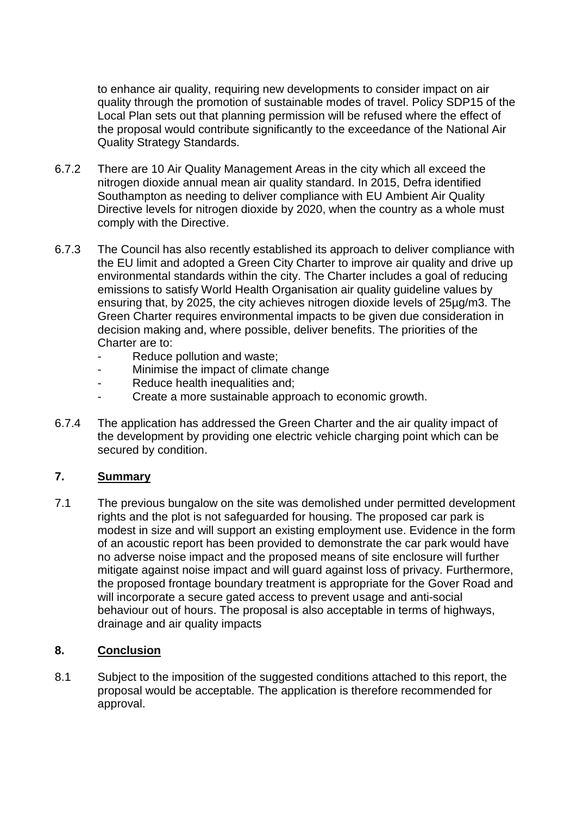to enhance air quality, requiring new developments to consider impact on air quality through the promotion of sustainable modes of travel. Policy SDP15 of the Local Plan sets out that planning permission will be refused where the effect of the proposal would contribute significantly to the exceedance of the National Air Quality Strategy Standards.

- 6.7.2 There are 10 Air Quality Management Areas in the city which all exceed the nitrogen dioxide annual mean air quality standard. In 2015, Defra identified Southampton as needing to deliver compliance with EU Ambient Air Quality Directive levels for nitrogen dioxide by 2020, when the country as a whole must comply with the Directive.
- 6.7.3 The Council has also recently established its approach to deliver compliance with the EU limit and adopted a Green City Charter to improve air quality and drive up environmental standards within the city. The Charter includes a goal of reducing emissions to satisfy World Health Organisation air quality guideline values by ensuring that, by 2025, the city achieves nitrogen dioxide levels of 25µg/m3. The Green Charter requires environmental impacts to be given due consideration in decision making and, where possible, deliver benefits. The priorities of the Charter are to:
	- Reduce pollution and waste;
	- Minimise the impact of climate change
	- Reduce health inequalities and;
	- Create a more sustainable approach to economic growth.
- 6.7.4 The application has addressed the Green Charter and the air quality impact of the development by providing one electric vehicle charging point which can be secured by condition.

#### **7. Summary**

7.1 The previous bungalow on the site was demolished under permitted development rights and the plot is not safeguarded for housing. The proposed car park is modest in size and will support an existing employment use. Evidence in the form of an acoustic report has been provided to demonstrate the car park would have no adverse noise impact and the proposed means of site enclosure will further mitigate against noise impact and will guard against loss of privacy. Furthermore, the proposed frontage boundary treatment is appropriate for the Gover Road and will incorporate a secure gated access to prevent usage and anti-social behaviour out of hours. The proposal is also acceptable in terms of highways, drainage and air quality impacts

#### **8. Conclusion**

8.1 Subject to the imposition of the suggested conditions attached to this report, the proposal would be acceptable. The application is therefore recommended for approval.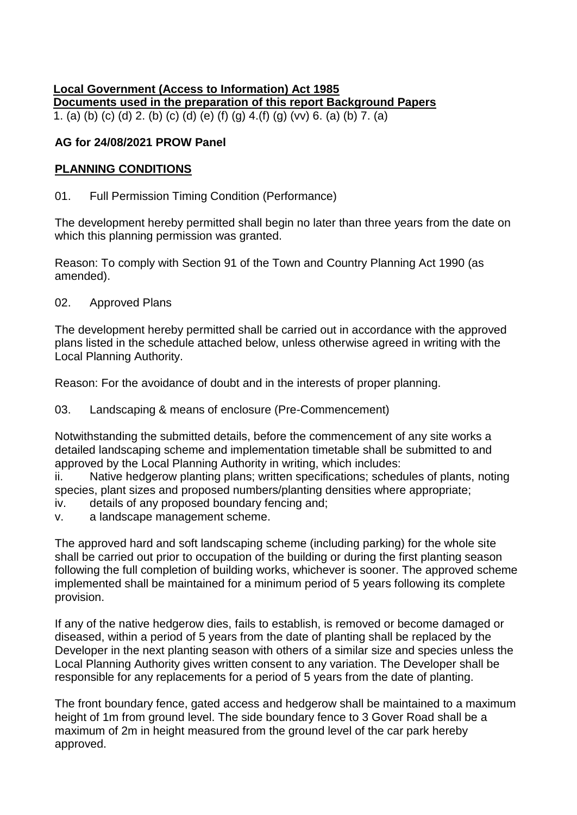### **Local Government (Access to Information) Act 1985 Documents used in the preparation of this report Background Papers** 1. (a) (b) (c) (d) 2. (b) (c) (d) (e) (f) (g) 4.(f) (g) (vv) 6. (a) (b) 7. (a)

### **AG for 24/08/2021 PROW Panel**

### **PLANNING CONDITIONS**

01. Full Permission Timing Condition (Performance)

The development hereby permitted shall begin no later than three years from the date on which this planning permission was granted.

Reason: To comply with Section 91 of the Town and Country Planning Act 1990 (as amended).

02. Approved Plans

The development hereby permitted shall be carried out in accordance with the approved plans listed in the schedule attached below, unless otherwise agreed in writing with the Local Planning Authority.

Reason: For the avoidance of doubt and in the interests of proper planning.

03. Landscaping & means of enclosure (Pre-Commencement)

Notwithstanding the submitted details, before the commencement of any site works a detailed landscaping scheme and implementation timetable shall be submitted to and approved by the Local Planning Authority in writing, which includes:

ii. Native hedgerow planting plans; written specifications; schedules of plants, noting species, plant sizes and proposed numbers/planting densities where appropriate;

- iv. details of any proposed boundary fencing and;
- v. a landscape management scheme.

The approved hard and soft landscaping scheme (including parking) for the whole site shall be carried out prior to occupation of the building or during the first planting season following the full completion of building works, whichever is sooner. The approved scheme implemented shall be maintained for a minimum period of 5 years following its complete provision.

If any of the native hedgerow dies, fails to establish, is removed or become damaged or diseased, within a period of 5 years from the date of planting shall be replaced by the Developer in the next planting season with others of a similar size and species unless the Local Planning Authority gives written consent to any variation. The Developer shall be responsible for any replacements for a period of 5 years from the date of planting.

The front boundary fence, gated access and hedgerow shall be maintained to a maximum height of 1m from ground level. The side boundary fence to 3 Gover Road shall be a maximum of 2m in height measured from the ground level of the car park hereby approved.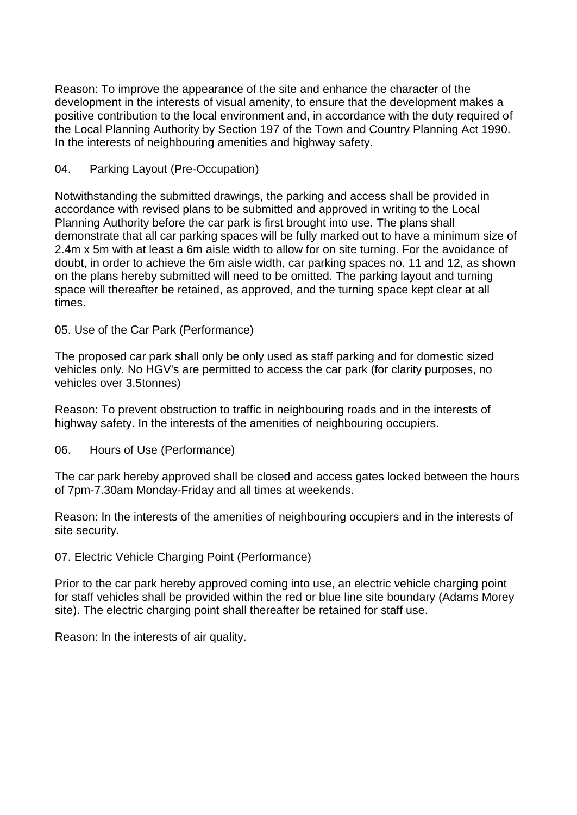Reason: To improve the appearance of the site and enhance the character of the development in the interests of visual amenity, to ensure that the development makes a positive contribution to the local environment and, in accordance with the duty required of the Local Planning Authority by Section 197 of the Town and Country Planning Act 1990. In the interests of neighbouring amenities and highway safety.

#### 04. Parking Layout (Pre-Occupation)

Notwithstanding the submitted drawings, the parking and access shall be provided in accordance with revised plans to be submitted and approved in writing to the Local Planning Authority before the car park is first brought into use. The plans shall demonstrate that all car parking spaces will be fully marked out to have a minimum size of 2.4m x 5m with at least a 6m aisle width to allow for on site turning. For the avoidance of doubt, in order to achieve the 6m aisle width, car parking spaces no. 11 and 12, as shown on the plans hereby submitted will need to be omitted. The parking layout and turning space will thereafter be retained, as approved, and the turning space kept clear at all times.

05. Use of the Car Park (Performance)

The proposed car park shall only be only used as staff parking and for domestic sized vehicles only. No HGV's are permitted to access the car park (for clarity purposes, no vehicles over 3.5tonnes)

Reason: To prevent obstruction to traffic in neighbouring roads and in the interests of highway safety. In the interests of the amenities of neighbouring occupiers.

06. Hours of Use (Performance)

The car park hereby approved shall be closed and access gates locked between the hours of 7pm-7.30am Monday-Friday and all times at weekends.

Reason: In the interests of the amenities of neighbouring occupiers and in the interests of site security.

07. Electric Vehicle Charging Point (Performance)

Prior to the car park hereby approved coming into use, an electric vehicle charging point for staff vehicles shall be provided within the red or blue line site boundary (Adams Morey site). The electric charging point shall thereafter be retained for staff use.

Reason: In the interests of air quality.